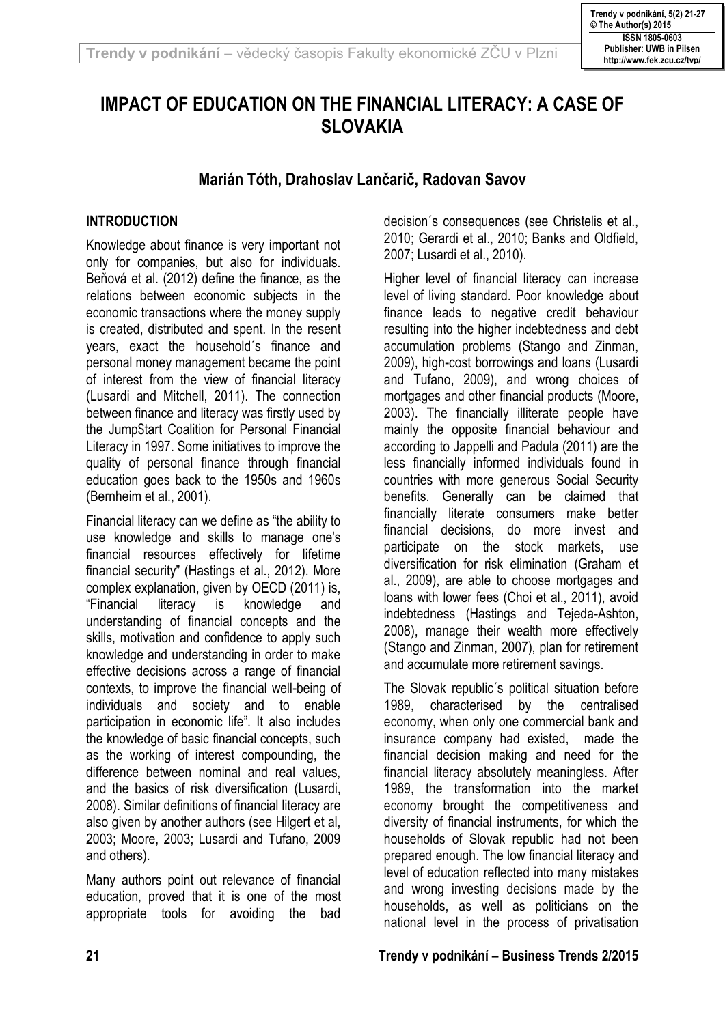# **IMPACT OF EDUCATION ON THE FINANCIAL LITERACY: A CASE OF SLOVAKIA**

# **Marián Tóth, Drahoslav Lančarič, Radovan Savov**

### **INTRODUCTION**

Knowledge about finance is very important not only for companies, but also for individuals. Beňová et al. (2012) define the finance, as the relations between economic subjects in the economic transactions where the money supply is created, distributed and spent. In the resent years, exact the household´s finance and personal money management became the point of interest from the view of financial literacy (Lusardi and Mitchell, 2011). The connection between finance and literacy was firstly used by the Jump\$tart Coalition for Personal Financial Literacy in 1997. Some initiatives to improve the quality of personal finance through financial education goes back to the 1950s and 1960s (Bernheim et al., 2001).

Financial literacy can we define as "the ability to use knowledge and skills to manage one's financial resources effectively for lifetime financial security" (Hastings et al., 2012). More complex explanation, given by OECD (2011) is, "Financial literacy is knowledge and understanding of financial concepts and the skills, motivation and confidence to apply such knowledge and understanding in order to make effective decisions across a range of financial contexts, to improve the financial well-being of individuals and society and to enable participation in economic life". It also includes the knowledge of basic financial concepts, such as the working of interest compounding, the difference between nominal and real values, and the basics of risk diversification (Lusardi, 2008). Similar definitions of financial literacy are also given by another authors (see Hilgert et al, 2003; Moore, 2003; Lusardi and Tufano, 2009 and others).

Many authors point out relevance of financial education, proved that it is one of the most appropriate tools for avoiding the bad decision´s consequences (see Christelis et al., 2010; Gerardi et al., 2010; Banks and Oldfield, 2007; Lusardi et al., 2010).

Higher level of financial literacy can increase level of living standard. Poor knowledge about finance leads to negative credit behaviour resulting into the higher indebtedness and debt accumulation problems (Stango and Zinman, 2009), high-cost borrowings and loans (Lusardi and Tufano, 2009), and wrong choices of mortgages and other financial products (Moore, 2003). The financially illiterate people have mainly the opposite financial behaviour and according to Jappelli and Padula (2011) are the less financially informed individuals found in countries with more generous Social Security benefits. Generally can be claimed that financially literate consumers make better financial decisions, do more invest and participate on the stock markets, use diversification for risk elimination (Graham et al., 2009), are able to choose mortgages and loans with lower fees (Choi et al., 2011), avoid indebtedness (Hastings and Tejeda-Ashton, 2008), manage their wealth more effectively (Stango and Zinman, 2007), plan for retirement and accumulate more retirement savings.

The Slovak republic´s political situation before 1989, characterised by the centralised economy, when only one commercial bank and insurance company had existed, made the financial decision making and need for the financial literacy absolutely meaningless. After 1989, the transformation into the market economy brought the competitiveness and diversity of financial instruments, for which the households of Slovak republic had not been prepared enough. The low financial literacy and level of education reflected into many mistakes and wrong investing decisions made by the households, as well as politicians on the national level in the process of privatisation

### **21 Trendy v podnikání – Business Trends 2/2015**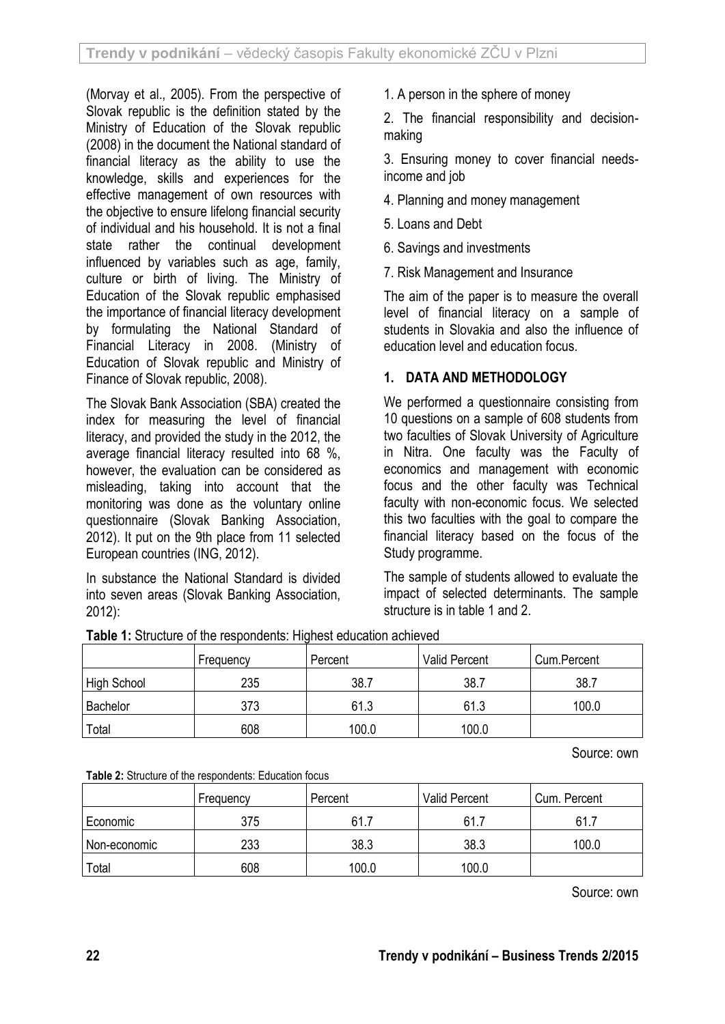(Morvay et al., 2005). From the perspective of Slovak republic is the definition stated by the Ministry of Education of the Slovak republic (2008) in the document the National standard of financial literacy as the ability to use the knowledge, skills and experiences for the effective management of own resources with the objective to ensure lifelong financial security of individual and his household. It is not a final state rather the continual development influenced by variables such as age, family, culture or birth of living. The Ministry of Education of the Slovak republic emphasised the importance of financial literacy development by formulating the National Standard of Financial Literacy in 2008. (Ministry of Education of Slovak republic and Ministry of Finance of Slovak republic, 2008).

The Slovak Bank Association (SBA) created the index for measuring the level of financial literacy, and provided the study in the 2012, the average financial literacy resulted into 68 %, however, the evaluation can be considered as misleading, taking into account that the monitoring was done as the voluntary online questionnaire (Slovak Banking Association, 2012). It put on the 9th place from 11 selected European countries (ING, 2012).

In substance the National Standard is divided into seven areas (Slovak Banking Association, 2012):

1. A person in the sphere of money

2. The financial responsibility and decisionmaking

3. Ensuring money to cover financial needsincome and job

4. Planning and money management

5. Loans and Debt

6. Savings and investments

7. Risk Management and Insurance

The aim of the paper is to measure the overall level of financial literacy on a sample of students in Slovakia and also the influence of education level and education focus.

### **1. DATA AND METHODOLOGY**

We performed a questionnaire consisting from 10 questions on a sample of 608 students from two faculties of Slovak University of Agriculture in Nitra. One faculty was the Faculty of economics and management with economic focus and the other faculty was Technical faculty with non-economic focus. We selected this two faculties with the goal to compare the financial literacy based on the focus of the Study programme.

The sample of students allowed to evaluate the impact of selected determinants. The sample structure is in table 1 and 2.

|             | Frequency | Percent | <b>Valid Percent</b> | Cum.Percent |
|-------------|-----------|---------|----------------------|-------------|
| High School | 235       | 38.7    | 38.7                 | 38.7        |
| Bachelor    | 373       | 61.3    | 61.3                 | 100.0       |
| Total       | 608       | 100.0   | 100.0                |             |

**Table 1:** Structure of the respondents: Highest education achieved

Source: own

**Table 2:** Structure of the respondents: Education focus

| <b>Table 2.</b> Othactard of the respondents. Education locals |           |         |                      |              |  |  |  |  |
|----------------------------------------------------------------|-----------|---------|----------------------|--------------|--|--|--|--|
|                                                                | Frequency | Percent | <b>Valid Percent</b> | Cum. Percent |  |  |  |  |
| Economic                                                       | 375       | 61      | 61.1                 | 61.7         |  |  |  |  |
| Non-economic                                                   | 233       | 38.3    | 38.3                 | 100.0        |  |  |  |  |
| Total                                                          | 608       | 100.0   | 100.0                |              |  |  |  |  |

Source: own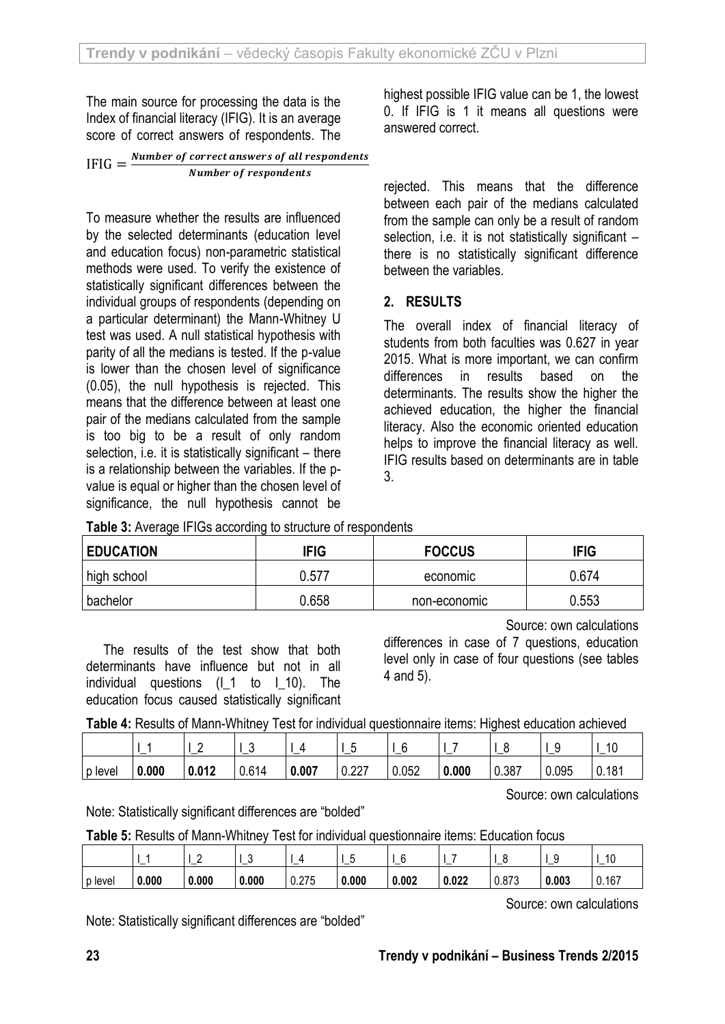The main source for processing the data is the Index of financial literacy (IFIG). It is an average score of correct answers of respondents. The

| $IFIG = \frac{N}{2}$ | Number of correct answers of all respondents |
|----------------------|----------------------------------------------|
|                      | Number of respondents                        |

To measure whether the results are influenced by the selected determinants (education level and education focus) non-parametric statistical methods were used. To verify the existence of statistically significant differences between the individual groups of respondents (depending on a particular determinant) the Mann-Whitney U test was used. A null statistical hypothesis with parity of all the medians is tested. If the p-value is lower than the chosen level of significance (0.05), the null hypothesis is rejected. This means that the difference between at least one pair of the medians calculated from the sample is too big to be a result of only random selection, i.e. it is statistically significant – there is a relationship between the variables. If the pvalue is equal or higher than the chosen level of significance, the null hypothesis cannot be

highest possible IFIG value can be 1, the lowest 0. If IFIG is 1 it means all questions were answered correct.

rejected. This means that the difference between each pair of the medians calculated from the sample can only be a result of random selection, i.e. it is not statistically significant there is no statistically significant difference between the variables.

### **2. RESULTS**

The overall index of financial literacy of students from both faculties was 0.627 in year 2015. What is more important, we can confirm differences in results based on the determinants. The results show the higher the achieved education, the higher the financial literacy. Also the economic oriented education helps to improve the financial literacy as well. IFIG results based on determinants are in table 3.

**Table 3:** Average IFIGs according to structure of respondents

| <b>EDUCATION</b> | <b>IFIG</b> | <b>FOCCUS</b> |       |
|------------------|-------------|---------------|-------|
| high school      | 0.577       | economic      | 0.674 |
| bachelor         | 0.658       | non-economic  | 0.553 |

Source: own calculations

The results of the test show that both determinants have influence but not in all individual questions (I\_1 to I\_10). The education focus caused statistically significant differences in case of 7 questions, education level only in case of four questions (see tables 4 and 5).

**Table 4:** Results of Mann-Whitney Test for individual questionnaire items: Highest education achieved

|           |       | -<br>- | £<br>J | -     |       | r<br>- |       |       | -               | 10    |
|-----------|-------|--------|--------|-------|-------|--------|-------|-------|-----------------|-------|
| l p level | 0.000 | 0.012  | 0.614  | 0.007 | 0.227 | 0.052  | 0.000 | 0.387 | 0.095<br>$\sim$ | 0.181 |

Source: own calculations

Note: Statistically significant differences are "bolded"

|         | –     |       | $\ddot{\phantom{1}}$<br>u | –     | –     | ∽<br>v<br>– | –     |       | –     | 10<br>_ |
|---------|-------|-------|---------------------------|-------|-------|-------------|-------|-------|-------|---------|
| p level | 0.000 | 0.000 | 0.000                     | 0.275 | 0.000 | 0.002       | 0.022 | 0.873 | 0.003 | 0.167   |

Source: own calculations

Note: Statistically significant differences are "bolded"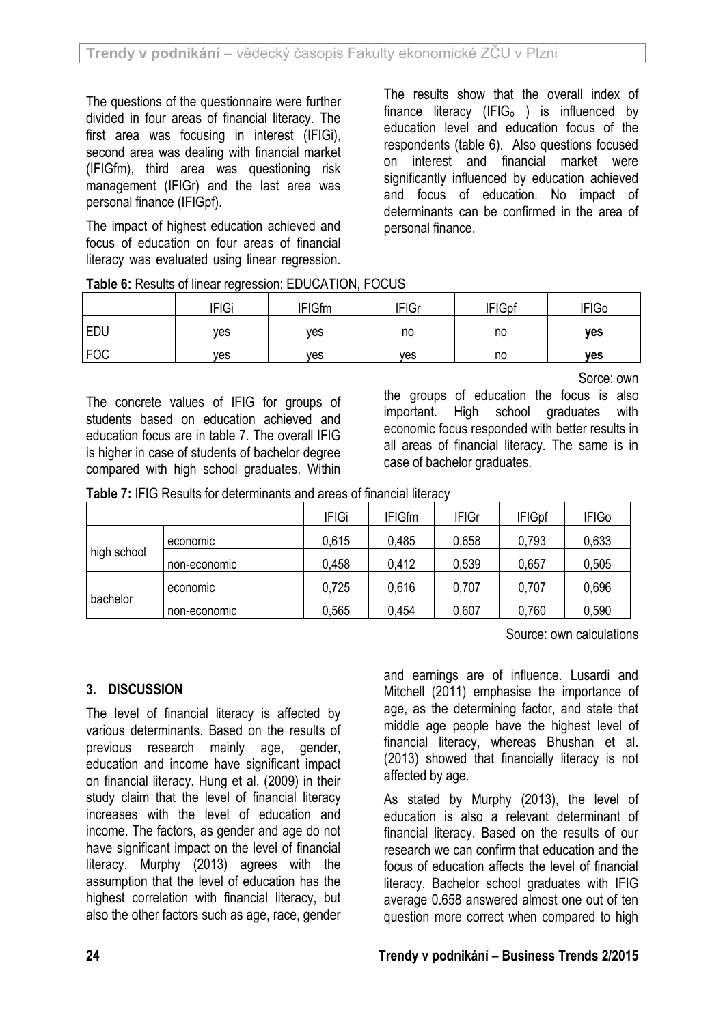The questions of the questionnaire were further divided in four areas of financial literacy. The first area was focusing in interest (IFIGi), second area was dealing with financial market (IFIGfm), third area was questioning risk management (IFIGr) and the last area was personal finance (IFIGpf).

The impact of highest education achieved and focus of education on four areas of financial literacy was evaluated using linear regression.

The results show that the overall index of finance literacy (IFI $G<sub>o</sub>$ ) is influenced by education level and education focus of the respondents (table 6). Also questions focused on interest and financial market were significantly influenced by education achieved and focus of education. No impact of determinants can be confirmed in the area of personal finance.

|            | <b>IFIGi</b> | <b>IFIGfm</b> | <b>IFIGr</b> | <b>IFIGpf</b> | <b>IFIGo</b> |
|------------|--------------|---------------|--------------|---------------|--------------|
| <b>EDU</b> | ves          | <b>ves</b>    | no           | no            | <b>ves</b>   |
| FOC        | ves          | ves           | ves          | no            | <b>ves</b>   |

**Table 6:** Results of linear regression: EDUCATION, FOCUS

The concrete values of IFIG for groups of students based on education achieved and education focus are in table 7. The overall IFIG is higher in case of students of bachelor degree compared with high school graduates. Within Sorce: own

the groups of education the focus is also important. High school graduates with economic focus responded with better results in all areas of financial literacy. The same is in case of bachelor graduates.

**Table 7:** IFIG Results for determinants and areas of financial literacy

|             |              | <b>IFIGi</b> | <b>IFIGfm</b> | <b>IFIGr</b> | <b>IFIGpf</b> | <b>IFIGo</b> |
|-------------|--------------|--------------|---------------|--------------|---------------|--------------|
|             | economic     | 0,615        | 0,485         | 0,658        | 0,793         | 0,633        |
| high school | non-economic | 0.458        | 0,412         | 0,539        | 0,657         | 0,505        |
|             | economic     | 0,725        | 0,616         | 0,707        | 0,707         | 0,696        |
| bachelor    | non-economic | 0,565        | 0,454         | 0,607        | 0,760         | 0,590        |

Source: own calculations

## **3. DISCUSSION**

The level of financial literacy is affected by various determinants. Based on the results of previous research mainly age, gender, education and income have significant impact on financial literacy. Hung et al. (2009) in their study claim that the level of financial literacy increases with the level of education and income. The factors, as gender and age do not have significant impact on the level of financial literacy. Murphy (2013) agrees with the assumption that the level of education has the highest correlation with financial literacy, but also the other factors such as age, race, gender

and earnings are of influence. Lusardi and Mitchell (2011) emphasise the importance of age, as the determining factor, and state that middle age people have the highest level of financial literacy, whereas Bhushan et al. (2013) showed that financially literacy is not affected by age.

As stated by Murphy (2013), the level of education is also a relevant determinant of financial literacy. Based on the results of our research we can confirm that education and the focus of education affects the level of financial literacy. Bachelor school graduates with IFIG average 0.658 answered almost one out of ten question more correct when compared to high

### **24 Trendy v podnikání – Business Trends 2/2015**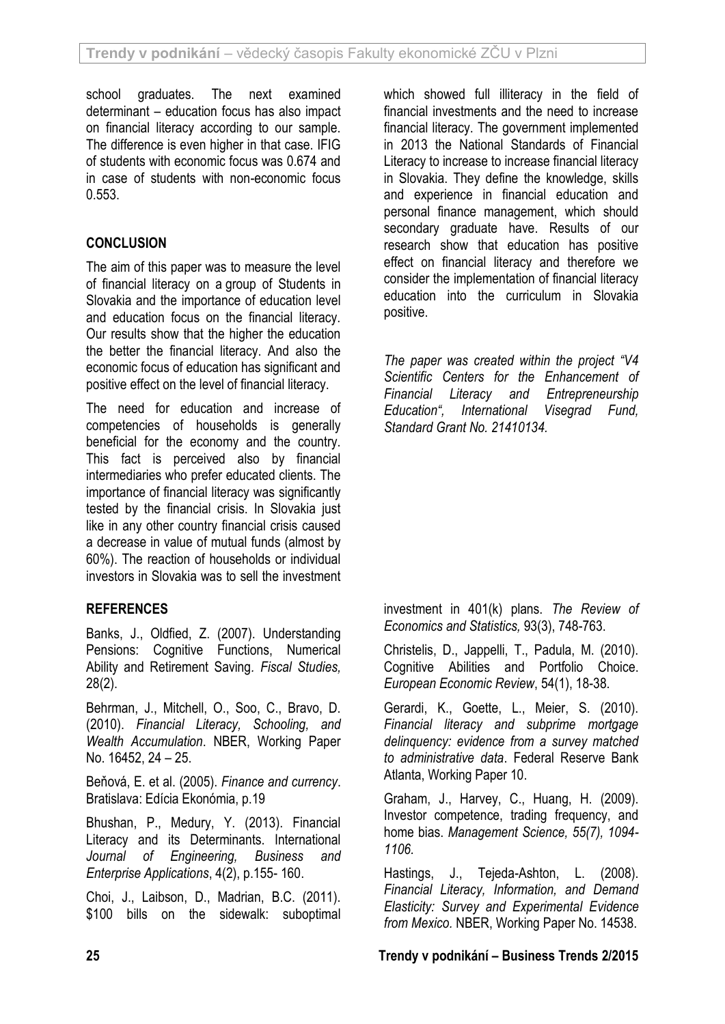school graduates. The next examined determinant – education focus has also impact on financial literacy according to our sample. The difference is even higher in that case. IFIG of students with economic focus was 0.674 and in case of students with non-economic focus 0.553.

# **CONCLUSION**

The aim of this paper was to measure the level of financial literacy on a group of Students in Slovakia and the importance of education level and education focus on the financial literacy. Our results show that the higher the education the better the financial literacy. And also the economic focus of education has significant and positive effect on the level of financial literacy.

The need for education and increase of competencies of households is generally beneficial for the economy and the country. This fact is perceived also by financial intermediaries who prefer educated clients. The importance of financial literacy was significantly tested by the financial crisis. In Slovakia just like in any other country financial crisis caused a decrease in value of mutual funds (almost by 60%). The reaction of households or individual investors in Slovakia was to sell the investment

## **REFERENCES**

Banks, J., Oldfied, Z. (2007). Understanding Pensions: Cognitive Functions, Numerical Ability and Retirement Saving*. Fiscal Studies,* 28(2).

Behrman, J., Mitchell, O., Soo, C., Bravo, D. (2010). *Financial Literacy, Schooling, and Wealth Accumulation*. NBER, Working Paper No. 16452, 24 – 25.

Beňová, E. et al. (2005). *Finance and currency*. Bratislava: Edícia Ekonómia, p.19

Bhushan, P., Medury, Y. (2013). Financial Literacy and its Determinants. International *Journal of Engineering, Business and Enterprise Applications*, 4(2), p.155- 160.

Choi, J., Laibson, D., Madrian, B.C. (2011). \$100 bills on the sidewalk: suboptimal

which showed full illiteracy in the field of financial investments and the need to increase financial literacy. The government implemented in 2013 the National Standards of Financial Literacy to increase to increase financial literacy in Slovakia. They define the knowledge, skills and experience in financial education and personal finance management, which should secondary graduate have. Results of our research show that education has positive effect on financial literacy and therefore we consider the implementation of financial literacy education into the curriculum in Slovakia positive.

*The paper was created within the project "V4 Scientific Centers for the Enhancement of Financial Literacy and Entrepreneurship Education", International Visegrad Fund, Standard Grant No. 21410134.*

investment in 401(k) plans. *The Review of Economics and Statistics,* 93(3), 748-763.

Christelis, D., Jappelli, T., Padula, M. (2010). Cognitive Abilities and Portfolio Choice. *European Economic Review*, 54(1), 18-38.

Gerardi, K., Goette, L., Meier, S. (2010). *Financial literacy and subprime mortgage delinquency: evidence from a survey matched to administrative data*. Federal Reserve Bank Atlanta, Working Paper 10.

Graham, J., Harvey, C., Huang, H. (2009). Investor competence, trading frequency, and home bias. *Management Science, 55(7), 1094- 1106.*

Hastings, J., Tejeda-Ashton, L. (2008). *Financial Literacy, Information, and Demand Elasticity: Survey and Experimental Evidence from Mexico.* NBER, Working Paper No. 14538.

**25 Trendy v podnikání – Business Trends 2/2015**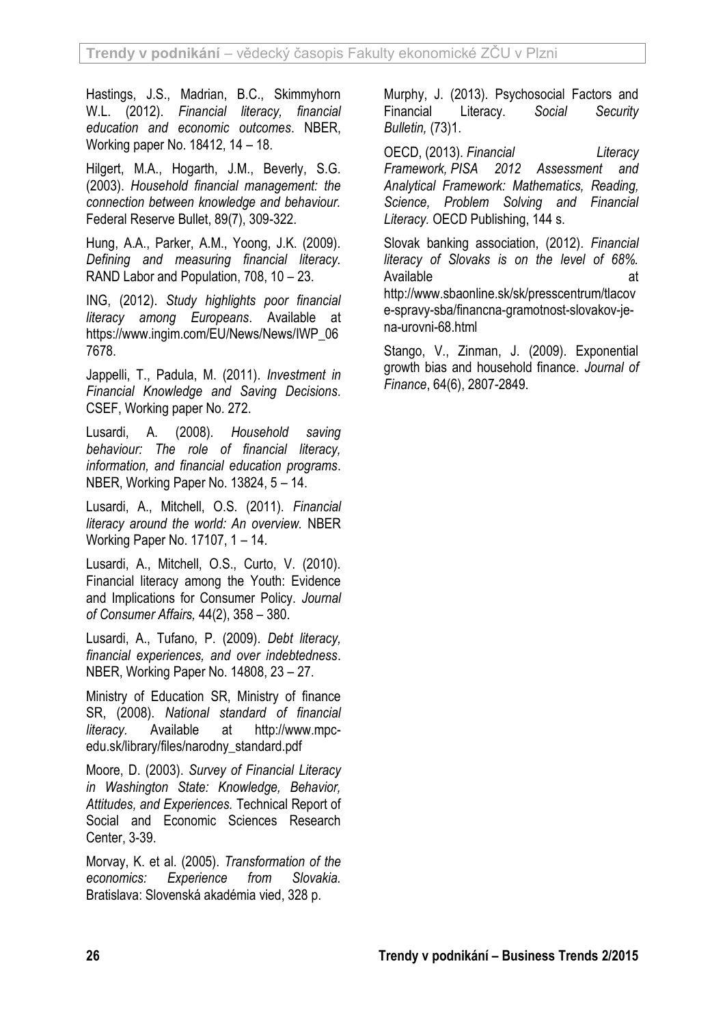Hastings, J.S., Madrian, B.C., Skimmyhorn W.L. (2012). *Financial literacy, financial education and economic outcomes*. NBER, Working paper No. 18412, 14 – 18.

Hilgert, M.A., Hogarth, J.M., Beverly, S.G. (2003). *Household financial management: the connection between knowledge and behaviour.* Federal Reserve Bullet, 89(7), 309-322.

Hung, A.A., Parker, A.M., Yoong, J.K. (2009). *Defining and measuring financial literacy.* RAND Labor and Population, 708, 10 – 23.

ING, (2012). *Study highlights poor financial literacy among Europeans*. Available at https://www.ingim.com/EU/News/News/IWP\_06 7678.

Jappelli, T., Padula, M. (2011). *Investment in Financial Knowledge and Saving Decisions*. CSEF, Working paper No. 272.

Lusardi, A. (2008). *Household saving behaviour: The role of financial literacy, information, and financial education programs*. NBER, Working Paper No. 13824, 5 – 14.

Lusardi, A., Mitchell, O.S. (2011). *Financial literacy around the world: An overview.* NBER Working Paper No. 17107, 1 – 14.

Lusardi, A., Mitchell, O.S., Curto, V. (2010). Financial literacy among the Youth: Evidence and Implications for Consumer Policy. *Journal of Consumer Affairs,* 44(2), 358 – 380.

Lusardi, A., Tufano, P. (2009). *Debt literacy, financial experiences, and over indebtedness*. NBER, Working Paper No. 14808, 23 – 27.

Ministry of Education SR, Ministry of finance SR, (2008). *National standard of financial literacy.* Available at http://www.mpcedu.sk/library/files/narodny\_standard.pdf

Moore, D. (2003). *Survey of Financial Literacy in Washington State: Knowledge, Behavior, Attitudes, and Experiences.* Technical Report of Social and Economic Sciences Research Center, 3-39.

Morvay, K. et al. (2005). *Transformation of the economics: Experience from Slovakia.* Bratislava: Slovenská akadémia vied, 328 p.

Murphy, J. (2013). Psychosocial Factors and Financial Literacy. *Social Security Bulletin,* (73)1.

OECD, (2013). *Financial Literacy Framework, PISA 2012 Assessment and Analytical Framework: Mathematics, Reading, Science, Problem Solving and Financial Literacy.* OECD Publishing, 144 s.

Slovak banking association, (2012). *Financial literacy of Slovaks is on the level of 68%.* Available at a structure at a structure at a structure at a structure at a structure at a structure at a structure at a structure at a structure at a structure at a structure at a structure at a structure at a structure at http://www.sbaonline.sk/sk/presscentrum/tlacov e-spravy-sba/financna-gramotnost-slovakov-jena-urovni-68.html

Stango, V., Zinman, J. (2009). Exponential growth bias and household finance. *Journal of Finance*, 64(6), 2807-2849.